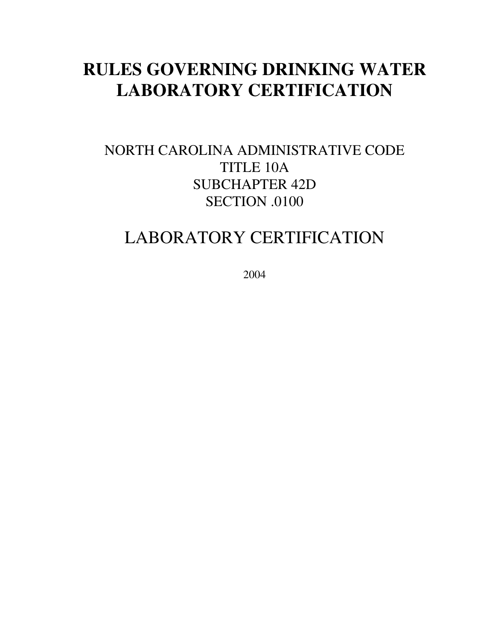# **RULES GOVERNING DRINKING WATER LABORATORY CERTIFICATION**

### NORTH CAROLINA ADMINISTRATIVE CODE TITLE 10A SUBCHAPTER 42D SECTION .0100

## LABORATORY CERTIFICATION

2004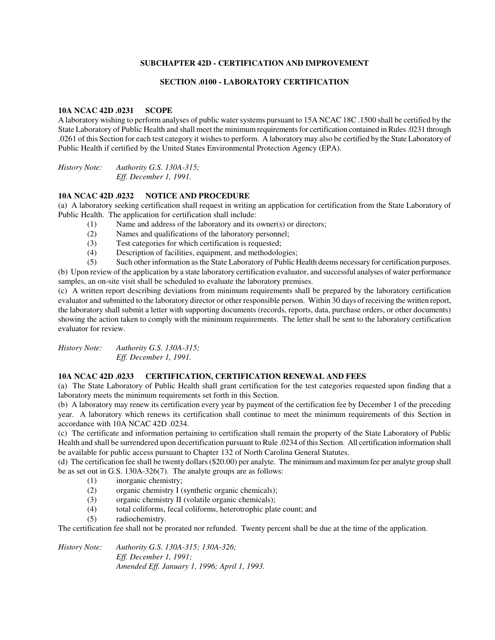#### **SUBCHAPTER 42D - CERTIFICATION AND IMPROVEMENT**

#### **SECTION .0100 - LABORATORY CERTIFICATION**

#### **10A NCAC 42D .0231 SCOPE**

A laboratory wishing to perform analyses of public water systems pursuant to 15A NCAC 18C .1500 shall be certified by the State Laboratory of Public Health and shall meet the minimum requirements for certification contained in Rules .0231 through .0261 of this Section for each test category it wishes to perform. A laboratory may also be certified by the State Laboratory of Public Health if certified by the United States Environmental Protection Agency (EPA).

*History Note: Authority G.S. 130A-315; Eff. December 1, 1991.* 

#### **10A NCAC 42D .0232 NOTICE AND PROCEDURE**

(a) A laboratory seeking certification shall request in writing an application for certification from the State Laboratory of Public Health. The application for certification shall include:

- (1) Name and address of the laboratory and its owner(s) or directors;
- (2) Names and qualifications of the laboratory personnel;
- (3) Test categories for which certification is requested;
- (4) Description of facilities, equipment, and methodologies;

(5) Such other information as the State Laboratory of Public Health deems necessary for certification purposes.

(b) Upon review of the application by a state laboratory certification evaluator, and successful analyses of water performance samples, an on-site visit shall be scheduled to evaluate the laboratory premises.

(c) A written report describing deviations from minimum requirements shall be prepared by the laboratory certification evaluator and submitted to the laboratory director or other responsible person. Within 30 days of receiving the written report, the laboratory shall submit a letter with supporting documents (records, reports, data, purchase orders, or other documents) showing the action taken to comply with the minimum requirements. The letter shall be sent to the laboratory certification evaluator for review.

*History Note: Authority G.S. 130A-315; Eff. December 1, 1991.* 

#### **10A NCAC 42D .0233 CERTIFICATION, CERTIFICATION RENEWAL AND FEES**

(a) The State Laboratory of Public Health shall grant certification for the test categories requested upon finding that a laboratory meets the minimum requirements set forth in this Section.

(b) A laboratory may renew its certification every year by payment of the certification fee by December 1 of the preceding year. A laboratory which renews its certification shall continue to meet the minimum requirements of this Section in accordance with 10A NCAC 42D .0234.

(c) The certificate and information pertaining to certification shall remain the property of the State Laboratory of Public Health and shall be surrendered upon decertification pursuant to Rule .0234 of this Section. All certification information shall be available for public access pursuant to Chapter 132 of North Carolina General Statutes.

(d) The certification fee shall be twenty dollars (\$20.00) per analyte. The minimum and maximum fee per analyte group shall be as set out in G.S. 130A-326(7). The analyte groups are as follows:

- (1) inorganic chemistry;
- (2) organic chemistry I (synthetic organic chemicals);
- (3) organic chemistry II (volatile organic chemicals);
- (4) total coliforms, fecal coliforms, heterotrophic plate count; and
- (5) radiochemistry.

The certification fee shall not be prorated nor refunded. Twenty percent shall be due at the time of the application.

*History Note: Authority G.S. 130A-315; 130A-326; Eff. December 1, 1991; Amended Eff. January 1, 1996; April 1, 1993.*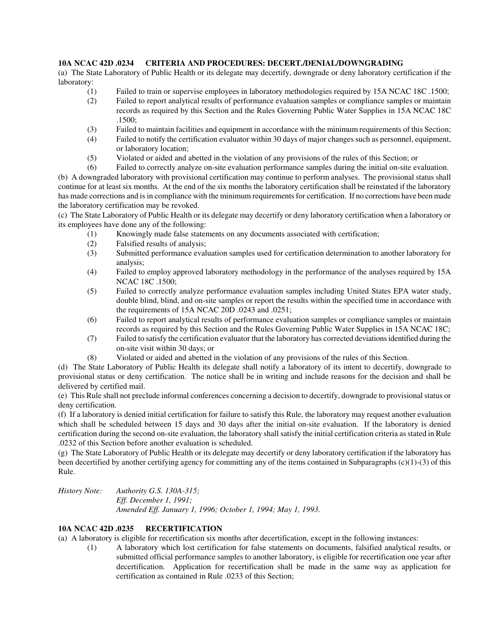#### **10A NCAC 42D .0234 CRITERIA AND PROCEDURES: DECERT./DENIAL/DOWNGRADING**

(a) The State Laboratory of Public Health or its delegate may decertify, downgrade or deny laboratory certification if the laboratory:

- (1) Failed to train or supervise employees in laboratory methodologies required by 15A NCAC 18C .1500;
- (2) Failed to report analytical results of performance evaluation samples or compliance samples or maintain records as required by this Section and the Rules Governing Public Water Supplies in 15A NCAC 18C .1500;
- (3) Failed to maintain facilities and equipment in accordance with the minimum requirements of this Section;
- (4) Failed to notify the certification evaluator within 30 days of major changes such as personnel, equipment, or laboratory location;
- (5) Violated or aided and abetted in the violation of any provisions of the rules of this Section; or

(6) Failed to correctly analyze on-site evaluation performance samples during the initial on-site evaluation. (b) A downgraded laboratory with provisional certification may continue to perform analyses. The provisional status shall continue for at least six months. At the end of the six months the laboratory certification shall be reinstated if the laboratory has made corrections and is in compliance with the minimum requirements for certification. If no corrections have been made the laboratory certification may be revoked.

(c) The State Laboratory of Public Health or its delegate may decertify or deny laboratory certification when a laboratory or its employees have done any of the following:

- (1) Knowingly made false statements on any documents associated with certification;
- (2) Falsified results of analysis;
- (3) Submitted performance evaluation samples used for certification determination to another laboratory for analysis;
- (4) Failed to employ approved laboratory methodology in the performance of the analyses required by 15A NCAC 18C .1500;
- (5) Failed to correctly analyze performance evaluation samples including United States EPA water study, double blind, blind, and on-site samples or report the results within the specified time in accordance with the requirements of 15A NCAC 20D .0243 and .0251;
- (6) Failed to report analytical results of performance evaluation samples or compliance samples or maintain records as required by this Section and the Rules Governing Public Water Supplies in 15A NCAC 18C;
- (7) Failed to satisfy the certification evaluator that the laboratory has corrected deviations identified during the on-site visit within 30 days; or
- (8) Violated or aided and abetted in the violation of any provisions of the rules of this Section.

(d) The State Laboratory of Public Health its delegate shall notify a laboratory of its intent to decertify, downgrade to provisional status or deny certification. The notice shall be in writing and include reasons for the decision and shall be delivered by certified mail.

(e) This Rule shall not preclude informal conferences concerning a decision to decertify, downgrade to provisional status or deny certification.

(f) If a laboratory is denied initial certification for failure to satisfy this Rule, the laboratory may request another evaluation which shall be scheduled between 15 days and 30 days after the initial on-site evaluation. If the laboratory is denied certification during the second on-site evaluation, the laboratory shall satisfy the initial certification criteria as stated in Rule .0232 of this Section before another evaluation is scheduled.

(g) The State Laboratory of Public Health or its delegate may decertify or deny laboratory certification if the laboratory has been decertified by another certifying agency for committing any of the items contained in Subparagraphs (c)(1)-(3) of this Rule.

*History Note: Authority G.S. 130A-315; Eff. December 1, 1991; Amended Eff. January 1, 1996; October 1, 1994; May 1, 1993.* 

#### **10A NCAC 42D .0235 RECERTIFICATION**

(a) A laboratory is eligible for recertification six months after decertification, except in the following instances:

(1) A laboratory which lost certification for false statements on documents, falsified analytical results, or submitted official performance samples to another laboratory, is eligible for recertification one year after decertification. Application for recertification shall be made in the same way as application for certification as contained in Rule .0233 of this Section;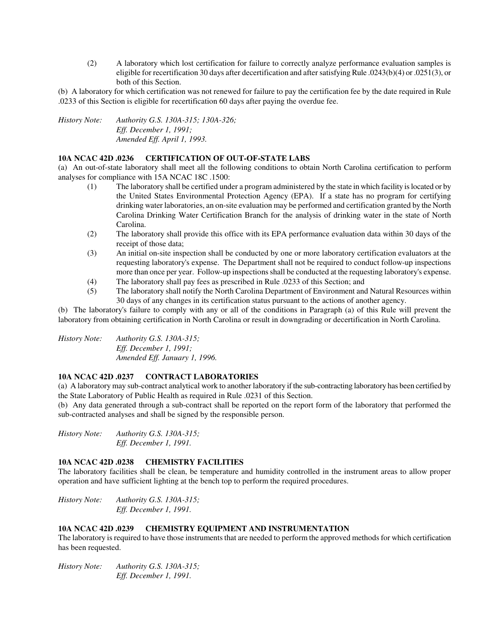(2) A laboratory which lost certification for failure to correctly analyze performance evaluation samples is eligible for recertification 30 days after decertification and after satisfying Rule .0243(b)(4) or .0251(3), or both of this Section.

(b) A laboratory for which certification was not renewed for failure to pay the certification fee by the date required in Rule .0233 of this Section is eligible for recertification 60 days after paying the overdue fee.

*History Note: Authority G.S. 130A-315; 130A-326; Eff. December 1, 1991; Amended Eff. April 1, 1993.* 

#### **10A NCAC 42D .0236 CERTIFICATION OF OUT-OF-STATE LABS**

(a) An out-of-state laboratory shall meet all the following conditions to obtain North Carolina certification to perform analyses for compliance with 15A NCAC 18C .1500:

- (1) The laboratory shall be certified under a program administered by the state in which facility is located or by the United States Environmental Protection Agency (EPA). If a state has no program for certifying drinking water laboratories, an on-site evaluation may be performed and certification granted by the North Carolina Drinking Water Certification Branch for the analysis of drinking water in the state of North Carolina.
- (2) The laboratory shall provide this office with its EPA performance evaluation data within 30 days of the receipt of those data;
- (3) An initial on-site inspection shall be conducted by one or more laboratory certification evaluators at the requesting laboratory's expense. The Department shall not be required to conduct follow-up inspections more than once per year. Follow-up inspections shall be conducted at the requesting laboratory's expense.
- (4) The laboratory shall pay fees as prescribed in Rule .0233 of this Section; and
- (5) The laboratory shall notify the North Carolina Department of Environment and Natural Resources within 30 days of any changes in its certification status pursuant to the actions of another agency.

(b) The laboratory's failure to comply with any or all of the conditions in Paragraph (a) of this Rule will prevent the laboratory from obtaining certification in North Carolina or result in downgrading or decertification in North Carolina.

*History Note: Authority G.S. 130A-315; Eff. December 1, 1991; Amended Eff. January 1, 1996.* 

#### **10A NCAC 42D .0237 CONTRACT LABORATORIES**

(a) A laboratory may sub-contract analytical work to another laboratory if the sub-contracting laboratory has been certified by the State Laboratory of Public Health as required in Rule .0231 of this Section.

(b) Any data generated through a sub-contract shall be reported on the report form of the laboratory that performed the sub-contracted analyses and shall be signed by the responsible person.

*History Note: Authority G.S. 130A-315; Eff. December 1, 1991.* 

#### **10A NCAC 42D .0238 CHEMISTRY FACILITIES**

The laboratory facilities shall be clean, be temperature and humidity controlled in the instrument areas to allow proper operation and have sufficient lighting at the bench top to perform the required procedures.

*History Note: Authority G.S. 130A-315; Eff. December 1, 1991.* 

#### **10A NCAC 42D .0239 CHEMISTRY EQUIPMENT AND INSTRUMENTATION**

The laboratory is required to have those instruments that are needed to perform the approved methods for which certification has been requested.

*History Note: Authority G.S. 130A-315; Eff. December 1, 1991.*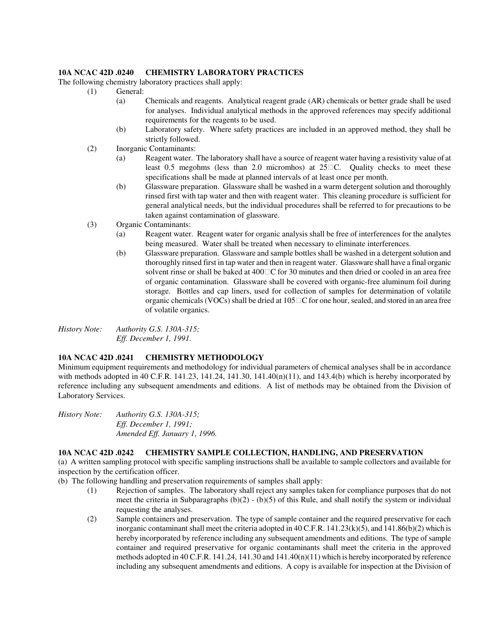#### **10A NCAC 42D .0240 CHEMISTRY LABORATORY PRACTICES**

The following chemistry laboratory practices shall apply:

- (1) General:
	- (a) Chemicals and reagents. Analytical reagent grade (AR) chemicals or better grade shall be used for analyses. Individual analytical methods in the approved references may specify additional requirements for the reagents to be used.
	- (b) Laboratory safety. Where safety practices are included in an approved method, they shall be strictly followed.
- (2) Inorganic Contaminants:
	- (a) Reagent water. The laboratory shall have a source of reagent water having a resistivity value of at least 0.5 megohms (less than 2.0 micromhos) at 25 C. Quality checks to meet these specifications shall be made at planned intervals of at least once per month.
	- (b) Glassware preparation. Glassware shall be washed in a warm detergent solution and thoroughly rinsed first with tap water and then with reagent water. This cleaning procedure is sufficient for general analytical needs, but the individual procedures shall be referred to for precautions to be taken against contamination of glassware.
- (3) Organic Contaminants:
	- (a) Reagent water. Reagent water for organic analysis shall be free of interferences for the analytes being measured. Water shall be treated when necessary to eliminate interferences.
	- (b) Glassware preparation. Glassware and sample bottles shall be washed in a detergent solution and thoroughly rinsed first in tap water and then in reagent water. Glassware shall have a final organic solvent rinse or shall be baked at 400 C for 30 minutes and then dried or cooled in an area free of organic contamination. Glassware shall be covered with organic-free aluminum foil during storage. Bottles and cap liners, used for collection of samples for determination of volatile organic chemicals (VOCs) shall be dried at 105 C for one hour, sealed, and stored in an area free of volatile organics.

*History Note: Authority G.S. 130A-315; Eff. December 1, 1991.* 

#### **10A NCAC 42D .0241 CHEMISTRY METHODOLOGY**

Minimum equipment requirements and methodology for individual parameters of chemical analyses shall be in accordance with methods adopted in 40 C.F.R. 141.23, 141.24, 141.30, 141.40(n)(11), and 143.4(b) which is hereby incorporated by reference including any subsequent amendments and editions. A list of methods may be obtained from the Division of Laboratory Services.

*History Note: Authority G.S. 130A-315; Eff. December 1, 1991; Amended Eff. January 1, 1996.* 

#### **10A NCAC 42D .0242 CHEMISTRY SAMPLE COLLECTION, HANDLING, AND PRESERVATION**

(a) A written sampling protocol with specific sampling instructions shall be available to sample collectors and available for inspection by the certification officer.

(b) The following handling and preservation requirements of samples shall apply:

- (1) Rejection of samples. The laboratory shall reject any samples taken for compliance purposes that do not meet the criteria in Subparagraphs  $(b)(2) - (b)(5)$  of this Rule, and shall notify the system or individual requesting the analyses.
- (2) Sample containers and preservation. The type of sample container and the required preservative for each inorganic contaminant shall meet the criteria adopted in 40 C.F.R. 141.23(k)(5), and 141.86(b)(2) which is hereby incorporated by reference including any subsequent amendments and editions. The type of sample container and required preservative for organic contaminants shall meet the criteria in the approved methods adopted in 40 C.F.R. 141.24, 141.30 and 141.40(n)(11) which is hereby incorporated by reference including any subsequent amendments and editions. A copy is available for inspection at the Division of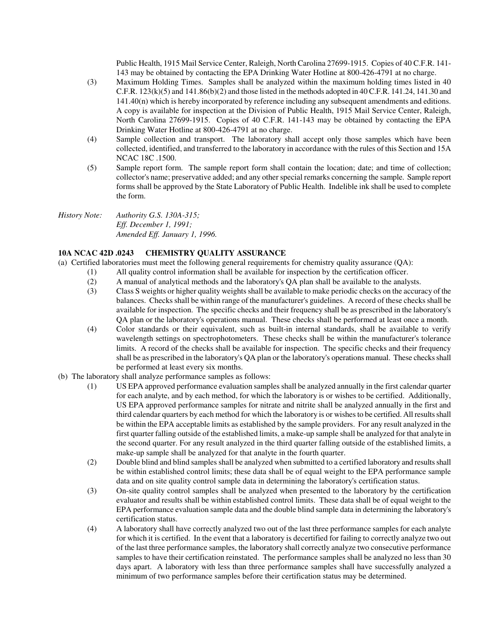Public Health, 1915 Mail Service Center, Raleigh, North Carolina 27699-1915. Copies of 40 C.F.R. 141- 143 may be obtained by contacting the EPA Drinking Water Hotline at 800-426-4791 at no charge.

- (3) Maximum Holding Times. Samples shall be analyzed within the maximum holding times listed in 40 C.F.R.  $123(k)(5)$  and  $141.86(k)(2)$  and those listed in the methods adopted in 40 C.F.R. 141.24, 141.30 and 141.40(n) which is hereby incorporated by reference including any subsequent amendments and editions. A copy is available for inspection at the Division of Public Health, 1915 Mail Service Center, Raleigh, North Carolina 27699-1915. Copies of 40 C.F.R. 141-143 may be obtained by contacting the EPA Drinking Water Hotline at 800-426-4791 at no charge.
- (4) Sample collection and transport. The laboratory shall accept only those samples which have been collected, identified, and transferred to the laboratory in accordance with the rules of this Section and 15A NCAC 18C .1500.
- (5) Sample report form. The sample report form shall contain the location; date; and time of collection; collector's name; preservative added; and any other special remarks concerning the sample. Sample report forms shall be approved by the State Laboratory of Public Health. Indelible ink shall be used to complete the form.
- *History Note: Authority G.S. 130A-315; Eff. December 1, 1991; Amended Eff. January 1, 1996.*

#### **10A NCAC 42D .0243 CHEMISTRY QUALITY ASSURANCE**

- (a) Certified laboratories must meet the following general requirements for chemistry quality assurance (QA):
	- (1) All quality control information shall be available for inspection by the certification officer.
		- (2) A manual of analytical methods and the laboratory's QA plan shall be available to the analysts.
		- (3) Class S weights or higher quality weights shall be available to make periodic checks on the accuracy of the balances. Checks shall be within range of the manufacturer's guidelines. A record of these checks shall be available for inspection. The specific checks and their frequency shall be as prescribed in the laboratory's QA plan or the laboratory's operations manual. These checks shall be performed at least once a month.
		- (4) Color standards or their equivalent, such as built-in internal standards, shall be available to verify wavelength settings on spectrophotometers. These checks shall be within the manufacturer's tolerance limits. A record of the checks shall be available for inspection. The specific checks and their frequency shall be as prescribed in the laboratory's QA plan or the laboratory's operations manual. These checks shall be performed at least every six months.
- (b) The laboratory shall analyze performance samples as follows:
	- (1) US EPA approved performance evaluation samples shall be analyzed annually in the first calendar quarter for each analyte, and by each method, for which the laboratory is or wishes to be certified. Additionally, US EPA approved performance samples for nitrate and nitrite shall be analyzed annually in the first and third calendar quarters by each method for which the laboratory is or wishes to be certified. All results shall be within the EPA acceptable limits as established by the sample providers. For any result analyzed in the first quarter falling outside of the established limits, a make-up sample shall be analyzed for that analyte in the second quarter. For any result analyzed in the third quarter falling outside of the established limits, a make-up sample shall be analyzed for that analyte in the fourth quarter.
	- (2) Double blind and blind samples shall be analyzed when submitted to a certified laboratory and results shall be within established control limits; these data shall be of equal weight to the EPA performance sample data and on site quality control sample data in determining the laboratory's certification status.
	- (3) On-site quality control samples shall be analyzed when presented to the laboratory by the certification evaluator and results shall be within established control limits. These data shall be of equal weight to the EPA performance evaluation sample data and the double blind sample data in determining the laboratory's certification status.
	- (4) A laboratory shall have correctly analyzed two out of the last three performance samples for each analyte for which it is certified. In the event that a laboratory is decertified for failing to correctly analyze two out of the last three performance samples, the laboratory shall correctly analyze two consecutive performance samples to have their certification reinstated. The performance samples shall be analyzed no less than 30 days apart. A laboratory with less than three performance samples shall have successfully analyzed a minimum of two performance samples before their certification status may be determined.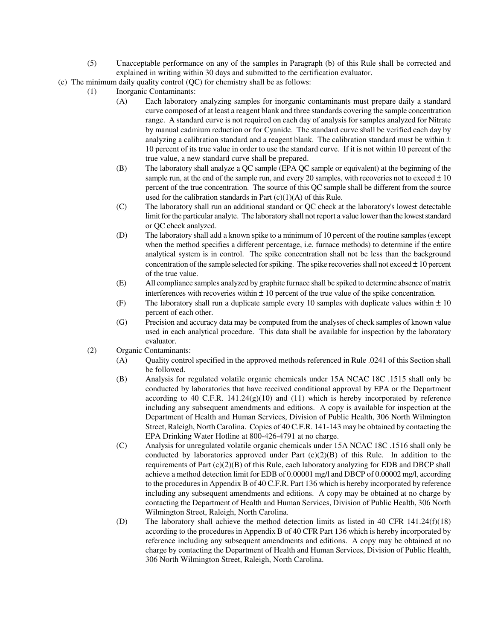(5) Unacceptable performance on any of the samples in Paragraph (b) of this Rule shall be corrected and explained in writing within 30 days and submitted to the certification evaluator.

(c) The minimum daily quality control (QC) for chemistry shall be as follows:

- (1) Inorganic Contaminants:
	- (A) Each laboratory analyzing samples for inorganic contaminants must prepare daily a standard curve composed of at least a reagent blank and three standards covering the sample concentration range. A standard curve is not required on each day of analysis for samples analyzed for Nitrate by manual cadmium reduction or for Cyanide. The standard curve shall be verified each day by analyzing a calibration standard and a reagent blank. The calibration standard must be within  $\pm$ 10 percent of its true value in order to use the standard curve. If it is not within 10 percent of the true value, a new standard curve shall be prepared.
	- (B) The laboratory shall analyze a QC sample (EPA QC sample or equivalent) at the beginning of the sample run, at the end of the sample run, and every 20 samples, with recoveries not to exceed  $\pm 10$ percent of the true concentration. The source of this QC sample shall be different from the source used for the calibration standards in Part  $(c)(1)(A)$  of this Rule.
	- (C) The laboratory shall run an additional standard or QC check at the laboratory's lowest detectable limit for the particular analyte. The laboratory shall not report a value lower than the lowest standard or QC check analyzed.
	- (D) The laboratory shall add a known spike to a minimum of 10 percent of the routine samples (except when the method specifies a different percentage, i.e. furnace methods) to determine if the entire analytical system is in control. The spike concentration shall not be less than the background concentration of the sample selected for spiking. The spike recoveries shall not exceed  $\pm 10$  percent of the true value.
	- (E) All compliance samples analyzed by graphite furnace shall be spiked to determine absence of matrix interferences with recoveries within  $\pm 10$  percent of the true value of the spike concentration.
	- (F) The laboratory shall run a duplicate sample every 10 samples with duplicate values within  $\pm$  10 percent of each other.
	- (G) Precision and accuracy data may be computed from the analyses of check samples of known value used in each analytical procedure. This data shall be available for inspection by the laboratory evaluator.
- (2) Organic Contaminants:
	- (A) Quality control specified in the approved methods referenced in Rule .0241 of this Section shall be followed.
	- (B) Analysis for regulated volatile organic chemicals under 15A NCAC 18C .1515 shall only be conducted by laboratories that have received conditional approval by EPA or the Department according to 40 C.F.R.  $141.24(g)(10)$  and  $(11)$  which is hereby incorporated by reference including any subsequent amendments and editions. A copy is available for inspection at the Department of Health and Human Services, Division of Public Health, 306 North Wilmington Street, Raleigh, North Carolina. Copies of 40 C.F.R. 141-143 may be obtained by contacting the EPA Drinking Water Hotline at 800-426-4791 at no charge.
	- (C) Analysis for unregulated volatile organic chemicals under 15A NCAC 18C .1516 shall only be conducted by laboratories approved under Part  $(c)(2)(B)$  of this Rule. In addition to the requirements of Part  $(c)(2)(B)$  of this Rule, each laboratory analyzing for EDB and DBCP shall achieve a method detection limit for EDB of 0.00001 mg/l and DBCP of 0.00002 mg/l, according to the procedures in Appendix B of 40 C.F.R. Part 136 which is hereby incorporated by reference including any subsequent amendments and editions. A copy may be obtained at no charge by contacting the Department of Health and Human Services, Division of Public Health, 306 North Wilmington Street, Raleigh, North Carolina.
	- (D) The laboratory shall achieve the method detection limits as listed in 40 CFR 141.24(f)(18) according to the procedures in Appendix B of 40 CFR Part 136 which is hereby incorporated by reference including any subsequent amendments and editions. A copy may be obtained at no charge by contacting the Department of Health and Human Services, Division of Public Health, 306 North Wilmington Street, Raleigh, North Carolina.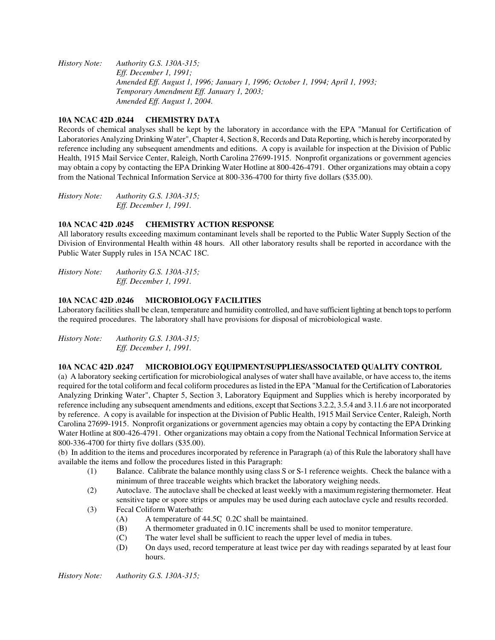*History Note: Authority G.S. 130A-315; Eff. December 1, 1991; Amended Eff. August 1, 1996; January 1, 1996; October 1, 1994; April 1, 1993; Temporary Amendment Eff. January 1, 2003; Amended Eff. August 1, 2004.* 

#### **10A NCAC 42D .0244 CHEMISTRY DATA**

Records of chemical analyses shall be kept by the laboratory in accordance with the EPA "Manual for Certification of Laboratories Analyzing Drinking Water", Chapter 4, Section 8, Records and Data Reporting, which is hereby incorporated by reference including any subsequent amendments and editions. A copy is available for inspection at the Division of Public Health, 1915 Mail Service Center, Raleigh, North Carolina 27699-1915. Nonprofit organizations or government agencies may obtain a copy by contacting the EPA Drinking Water Hotline at 800-426-4791. Other organizations may obtain a copy from the National Technical Information Service at 800-336-4700 for thirty five dollars (\$35.00).

*History Note: Authority G.S. 130A-315; Eff. December 1, 1991.* 

#### **10A NCAC 42D .0245 CHEMISTRY ACTION RESPONSE**

All laboratory results exceeding maximum contaminant levels shall be reported to the Public Water Supply Section of the Division of Environmental Health within 48 hours. All other laboratory results shall be reported in accordance with the Public Water Supply rules in 15A NCAC 18C.

*History Note: Authority G.S. 130A-315; Eff. December 1, 1991.* 

#### **10A NCAC 42D .0246 MICROBIOLOGY FACILITIES**

Laboratory facilities shall be clean, temperature and humidity controlled, and have sufficient lighting at bench tops to perform the required procedures. The laboratory shall have provisions for disposal of microbiological waste.

*History Note: Authority G.S. 130A-315; Eff. December 1, 1991.* 

#### **10A NCAC 42D .0247 MICROBIOLOGY EQUIPMENT/SUPPLIES/ASSOCIATED QUALITY CONTROL**

(a) A laboratory seeking certification for microbiological analyses of water shall have available, or have access to, the items required for the total coliform and fecal coliform procedures as listed in the EPA "Manual for the Certification of Laboratories Analyzing Drinking Water", Chapter 5, Section 3, Laboratory Equipment and Supplies which is hereby incorporated by reference including any subsequent amendments and editions, except that Sections 3.2.2, 3.5.4 and 3.11.6 are not incorporated by reference. A copy is available for inspection at the Division of Public Health, 1915 Mail Service Center, Raleigh, North Carolina 27699-1915. Nonprofit organizations or government agencies may obtain a copy by contacting the EPA Drinking Water Hotline at 800-426-4791. Other organizations may obtain a copy from the National Technical Information Service at 800-336-4700 for thirty five dollars (\$35.00).

(b) In addition to the items and procedures incorporated by reference in Paragraph (a) of this Rule the laboratory shall have available the items and follow the procedures listed in this Paragraph:

- (1) Balance. Calibrate the balance monthly using class S or S-1 reference weights. Check the balance with a minimum of three traceable weights which bracket the laboratory weighing needs.
- (2) Autoclave. The autoclave shall be checked at least weekly with a maximum registering thermometer. Heat sensitive tape or spore strips or ampules may be used during each autoclave cycle and results recorded.
- (3) Fecal Coliform Waterbath:
	- (A) A temperature of 44.5C 0.2C shall be maintained.
	- (B) A thermometer graduated in 0.1C increments shall be used to monitor temperature.
	- (C) The water level shall be sufficient to reach the upper level of media in tubes.
	- (D) On days used, record temperature at least twice per day with readings separated by at least four hours.

*History Note: Authority G.S. 130A-315;*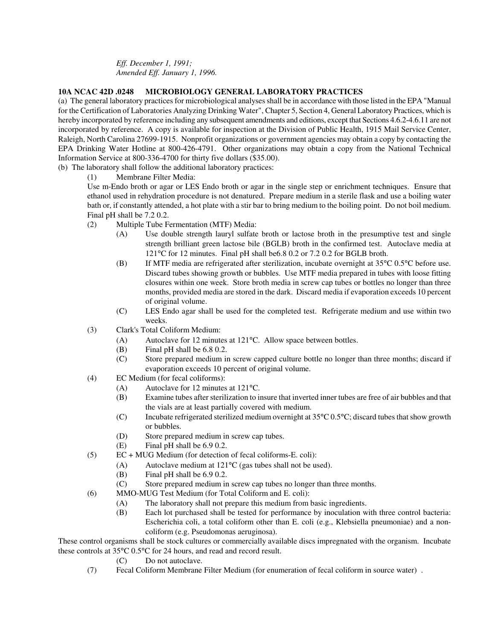*Eff. December 1, 1991; Amended Eff. January 1, 1996.* 

#### **10A NCAC 42D .0248 MICROBIOLOGY GENERAL LABORATORY PRACTICES**

(a) The general laboratory practices for microbiological analyses shall be in accordance with those listed in the EPA "Manual for the Certification of Laboratories Analyzing Drinking Water", Chapter 5, Section 4, General Laboratory Practices, which is hereby incorporated by reference including any subsequent amendments and editions, except that Sections 4.6.2-4.6.11 are not incorporated by reference. A copy is available for inspection at the Division of Public Health, 1915 Mail Service Center, Raleigh, North Carolina 27699-1915. Nonprofit organizations or government agencies may obtain a copy by contacting the EPA Drinking Water Hotline at 800-426-4791. Other organizations may obtain a copy from the National Technical Information Service at 800-336-4700 for thirty five dollars (\$35.00).

(b) The laboratory shall follow the additional laboratory practices:

(1) Membrane Filter Media:

Use m-Endo broth or agar or LES Endo broth or agar in the single step or enrichment techniques. Ensure that ethanol used in rehydration procedure is not denatured. Prepare medium in a sterile flask and use a boiling water bath or, if constantly attended, a hot plate with a stir bar to bring medium to the boiling point. Do not boil medium. Final pH shall be 7.2 0.2.

- (2) Multiple Tube Fermentation (MTF) Media:
	- (A) Use double strength lauryl sulfate broth or lactose broth in the presumptive test and single strength brilliant green lactose bile (BGLB) broth in the confirmed test. Autoclave media at 121°C for 12 minutes. Final pH shall be6.8 0.2 or 7.2 0.2 for BGLB broth.
	- (B) If MTF media are refrigerated after sterilization, incubate overnight at 35°C 0.5°C before use. Discard tubes showing growth or bubbles. Use MTF media prepared in tubes with loose fitting closures within one week. Store broth media in screw cap tubes or bottles no longer than three months, provided media are stored in the dark. Discard media if evaporation exceeds 10 percent of original volume.
	- (C) LES Endo agar shall be used for the completed test. Refrigerate medium and use within two weeks.
- (3) Clark's Total Coliform Medium:
	- (A) Autoclave for 12 minutes at 121°C. Allow space between bottles.
	- (B) Final pH shall be 6.8 0.2.
	- (C) Store prepared medium in screw capped culture bottle no longer than three months; discard if evaporation exceeds 10 percent of original volume.
- (4) EC Medium (for fecal coliforms):
	- (A) Autoclave for 12 minutes at 121°C.
	- (B) Examine tubes after sterilization to insure that inverted inner tubes are free of air bubbles and that the vials are at least partially covered with medium.
	- (C) Incubate refrigerated sterilized medium overnight at 35°C 0.5°C; discard tubes that show growth or bubbles.
	- (D) Store prepared medium in screw cap tubes.
	- (E) Final pH shall be 6.9 0.2.
- (5) EC + MUG Medium (for detection of fecal coliforms-E. coli):
	- (A) Autoclave medium at 121°C (gas tubes shall not be used).
	- (B) Final pH shall be 6.9 0.2.
	- (C) Store prepared medium in screw cap tubes no longer than three months.
- (6) MMO-MUG Test Medium (for Total Coliform and E. coli):
	- (A) The laboratory shall not prepare this medium from basic ingredients.
	- (B) Each lot purchased shall be tested for performance by inoculation with three control bacteria: Escherichia coli, a total coliform other than E. coli (e.g., Klebsiella pneumoniae) and a noncoliform (e.g. Pseudomonas aeruginosa).

These control organisms shall be stock cultures or commercially available discs impregnated with the organism. Incubate these controls at 35°C 0.5°C for 24 hours, and read and record result.

(C) Do not autoclave.

(7) Fecal Coliform Membrane Filter Medium (for enumeration of fecal coliform in source water) .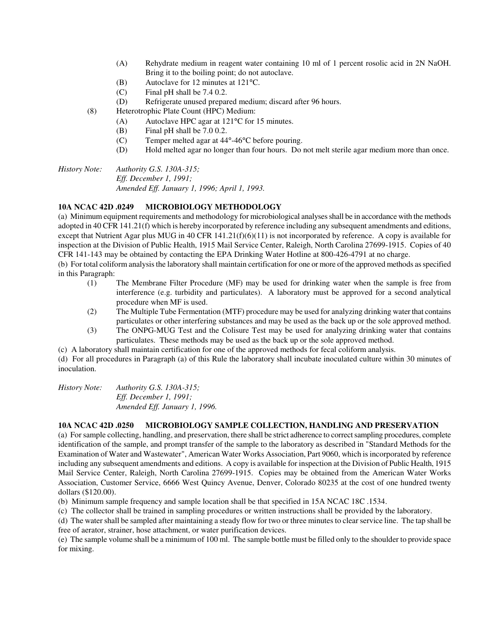- (A) Rehydrate medium in reagent water containing 10 ml of 1 percent rosolic acid in 2N NaOH. Bring it to the boiling point; do not autoclave.
- (B) Autoclave for 12 minutes at 121°C.
- (C) Final pH shall be 7.4 0.2.
- (D) Refrigerate unused prepared medium; discard after 96 hours.
- (8) Heterotrophic Plate Count (HPC) Medium:
	- (A) Autoclave HPC agar at 121°C for 15 minutes.
	- (B) Final pH shall be 7.0 0.2.
	- (C) Temper melted agar at 44°-46°C before pouring.
	- (D) Hold melted agar no longer than four hours. Do not melt sterile agar medium more than once.

*History Note: Authority G.S. 130A-315; Eff. December 1, 1991; Amended Eff. January 1, 1996; April 1, 1993.* 

#### **10A NCAC 42D .0249 MICROBIOLOGY METHODOLOGY**

(a) Minimum equipment requirements and methodology for microbiological analyses shall be in accordance with the methods adopted in 40 CFR 141.21(f) which is hereby incorporated by reference including any subsequent amendments and editions, except that Nutrient Agar plus MUG in 40 CFR 141.21(f)(6)(11) is not incorporated by reference. A copy is available for inspection at the Division of Public Health, 1915 Mail Service Center, Raleigh, North Carolina 27699-1915. Copies of 40 CFR 141-143 may be obtained by contacting the EPA Drinking Water Hotline at 800-426-4791 at no charge.

(b) For total coliform analysis the laboratory shall maintain certification for one or more of the approved methods as specified in this Paragraph:

- (1) The Membrane Filter Procedure (MF) may be used for drinking water when the sample is free from interference (e.g. turbidity and particulates). A laboratory must be approved for a second analytical procedure when MF is used.
- (2) The Multiple Tube Fermentation (MTF) procedure may be used for analyzing drinking water that contains particulates or other interfering substances and may be used as the back up or the sole approved method.
- (3) The ONPG-MUG Test and the Colisure Test may be used for analyzing drinking water that contains particulates. These methods may be used as the back up or the sole approved method.
- (c) A laboratory shall maintain certification for one of the approved methods for fecal coliform analysis.

(d) For all procedures in Paragraph (a) of this Rule the laboratory shall incubate inoculated culture within 30 minutes of inoculation.

| <i>History Note:</i> | Authority G.S. 130A-315;      |
|----------------------|-------------------------------|
|                      | <i>Eff. December 1, 1991;</i> |
|                      | Amended Eff. January 1, 1996. |

#### **10A NCAC 42D .0250 MICROBIOLOGY SAMPLE COLLECTION, HANDLING AND PRESERVATION**

(a) For sample collecting, handling, and preservation, there shall be strict adherence to correct sampling procedures, complete identification of the sample, and prompt transfer of the sample to the laboratory as described in "Standard Methods for the Examination of Water and Wastewater", American Water Works Association, Part 9060, which is incorporated by reference including any subsequent amendments and editions. A copy is available for inspection at the Division of Public Health, 1915 Mail Service Center, Raleigh, North Carolina 27699-1915. Copies may be obtained from the American Water Works Association, Customer Service, 6666 West Quincy Avenue, Denver, Colorado 80235 at the cost of one hundred twenty dollars (\$120.00).

(b) Minimum sample frequency and sample location shall be that specified in 15A NCAC 18C .1534.

(c) The collector shall be trained in sampling procedures or written instructions shall be provided by the laboratory.

(d) The water shall be sampled after maintaining a steady flow for two or three minutes to clear service line. The tap shall be free of aerator, strainer, hose attachment, or water purification devices.

(e) The sample volume shall be a minimum of 100 ml. The sample bottle must be filled only to the shoulder to provide space for mixing.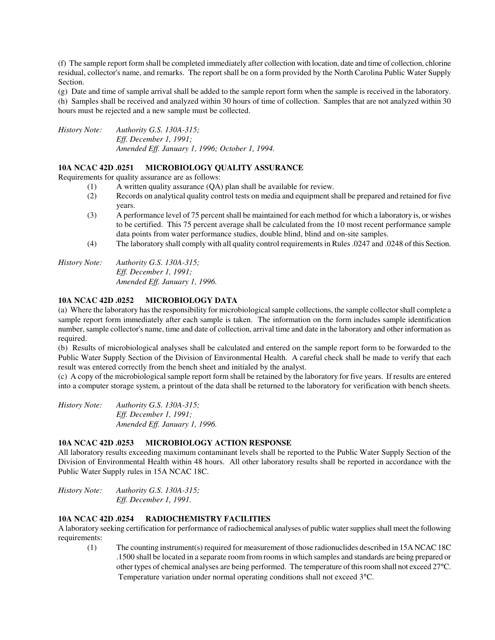(f) The sample report form shall be completed immediately after collection with location, date and time of collection, chlorine residual, collector's name, and remarks. The report shall be on a form provided by the North Carolina Public Water Supply Section.

(g) Date and time of sample arrival shall be added to the sample report form when the sample is received in the laboratory. (h) Samples shall be received and analyzed within 30 hours of time of collection. Samples that are not analyzed within 30 hours must be rejected and a new sample must be collected.

*History Note: Authority G.S. 130A-315; Eff. December 1, 1991; Amended Eff. January 1, 1996; October 1, 1994.* 

#### **10A NCAC 42D .0251 MICROBIOLOGY QUALITY ASSURANCE**

Requirements for quality assurance are as follows:

- (1) A written quality assurance (QA) plan shall be available for review.
- (2) Records on analytical quality control tests on media and equipment shall be prepared and retained for five years.
- (3) A performance level of 75 percent shall be maintained for each method for which a laboratory is, or wishes to be certified. This 75 percent average shall be calculated from the 10 most recent performance sample data points from water performance studies, double blind, blind and on-site samples.
- (4) The laboratory shall comply with all quality control requirements in Rules .0247 and .0248 of this Section.

*History Note: Authority G.S. 130A-315; Eff. December 1, 1991; Amended Eff. January 1, 1996.* 

#### **10A NCAC 42D .0252 MICROBIOLOGY DATA**

(a) Where the laboratory has the responsibility for microbiological sample collections, the sample collector shall complete a sample report form immediately after each sample is taken. The information on the form includes sample identification number, sample collector's name, time and date of collection, arrival time and date in the laboratory and other information as required.

(b) Results of microbiological analyses shall be calculated and entered on the sample report form to be forwarded to the Public Water Supply Section of the Division of Environmental Health. A careful check shall be made to verify that each result was entered correctly from the bench sheet and initialed by the analyst.

(c) A copy of the microbiological sample report form shall be retained by the laboratory for five years. If results are entered into a computer storage system, a printout of the data shall be returned to the laboratory for verification with bench sheets.

*History Note: Authority G.S. 130A-315; Eff. December 1, 1991; Amended Eff. January 1, 1996.* 

#### **10A NCAC 42D .0253 MICROBIOLOGY ACTION RESPONSE**

All laboratory results exceeding maximum contaminant levels shall be reported to the Public Water Supply Section of the Division of Environmental Health within 48 hours. All other laboratory results shall be reported in accordance with the Public Water Supply rules in 15A NCAC 18C.

*History Note: Authority G.S. 130A-315; Eff. December 1, 1991.* 

#### **10A NCAC 42D .0254 RADIOCHEMISTRY FACILITIES**

A laboratory seeking certification for performance of radiochemical analyses of public water supplies shall meet the following requirements:

(1) The counting instrument(s) required for measurement of those radionuclides described in 15A NCAC 18C .1500 shall be located in a separate room from rooms in which samples and standards are being prepared or other types of chemical analyses are being performed. The temperature of this room shall not exceed 27°C. Temperature variation under normal operating conditions shall not exceed 3°C.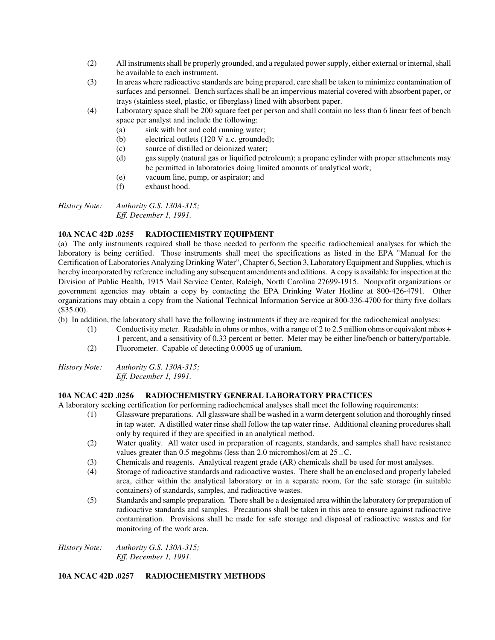- (2) All instruments shall be properly grounded, and a regulated power supply, either external or internal, shall be available to each instrument.
- (3) In areas where radioactive standards are being prepared, care shall be taken to minimize contamination of surfaces and personnel. Bench surfaces shall be an impervious material covered with absorbent paper, or trays (stainless steel, plastic, or fiberglass) lined with absorbent paper.
- (4) Laboratory space shall be 200 square feet per person and shall contain no less than 6 linear feet of bench space per analyst and include the following:
	- (a) sink with hot and cold running water;
	- (b) electrical outlets (120 V a.c. grounded);
	- (c) source of distilled or deionized water;
	- (d) gas supply (natural gas or liquified petroleum); a propane cylinder with proper attachments may be permitted in laboratories doing limited amounts of analytical work;
	- (e) vacuum line, pump, or aspirator; and
	- (f) exhaust hood.

*History Note: Authority G.S. 130A-315; Eff. December 1, 1991.* 

#### **10A NCAC 42D .0255 RADIOCHEMISTRY EQUIPMENT**

(a) The only instruments required shall be those needed to perform the specific radiochemical analyses for which the laboratory is being certified. Those instruments shall meet the specifications as listed in the EPA "Manual for the Certification of Laboratories Analyzing Drinking Water", Chapter 6, Section 3, Laboratory Equipment and Supplies, which is hereby incorporated by reference including any subsequent amendments and editions. A copy is available for inspection at the Division of Public Health, 1915 Mail Service Center, Raleigh, North Carolina 27699-1915. Nonprofit organizations or government agencies may obtain a copy by contacting the EPA Drinking Water Hotline at 800-426-4791. Other organizations may obtain a copy from the National Technical Information Service at 800-336-4700 for thirty five dollars (\$35.00).

(b) In addition, the laboratory shall have the following instruments if they are required for the radiochemical analyses:

- (1) Conductivity meter. Readable in ohms or mhos, with a range of 2 to 2.5 million ohms or equivalent mhos + 1 percent, and a sensitivity of 0.33 percent or better. Meter may be either line/bench or battery/portable.
- (2) Fluorometer. Capable of detecting 0.0005 ug of uranium.

*History Note: Authority G.S. 130A-315; Eff. December 1, 1991.* 

#### **10A NCAC 42D .0256 RADIOCHEMISTRY GENERAL LABORATORY PRACTICES**

A laboratory seeking certification for performing radiochemical analyses shall meet the following requirements:

- (1) Glassware preparations. All glassware shall be washed in a warm detergent solution and thoroughly rinsed in tap water. A distilled water rinse shall follow the tap water rinse. Additional cleaning procedures shall only by required if they are specified in an analytical method.
- (2) Water quality. All water used in preparation of reagents, standards, and samples shall have resistance values greater than  $0.5$  megohms (less than  $2.0$  micromhos)/cm at  $25$  C.
- (3) Chemicals and reagents. Analytical reagent grade (AR) chemicals shall be used for most analyses.
- (4) Storage of radioactive standards and radioactive wastes. There shall be an enclosed and properly labeled area, either within the analytical laboratory or in a separate room, for the safe storage (in suitable containers) of standards, samples, and radioactive wastes.
- (5) Standards and sample preparation. There shall be a designated area within the laboratory for preparation of radioactive standards and samples. Precautions shall be taken in this area to ensure against radioactive contamination. Provisions shall be made for safe storage and disposal of radioactive wastes and for monitoring of the work area.

*History Note: Authority G.S. 130A-315; Eff. December 1, 1991.* 

#### **10A NCAC 42D .0257 RADIOCHEMISTRY METHODS**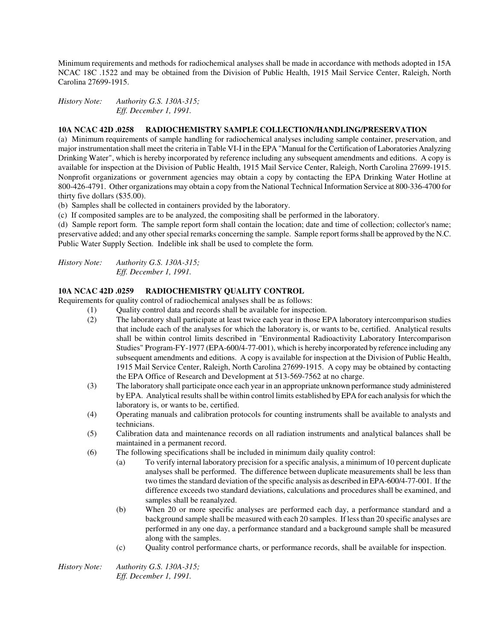Minimum requirements and methods for radiochemical analyses shall be made in accordance with methods adopted in 15A NCAC 18C .1522 and may be obtained from the Division of Public Health, 1915 Mail Service Center, Raleigh, North Carolina 27699-1915.

*History Note: Authority G.S. 130A-315; Eff. December 1, 1991.* 

#### **10A NCAC 42D .0258 RADIOCHEMISTRY SAMPLE COLLECTION/HANDLING/PRESERVATION**

(a) Minimum requirements of sample handling for radiochemical analyses including sample container, preservation, and major instrumentation shall meet the criteria in Table VI-I in the EPA "Manual for the Certification of Laboratories Analyzing Drinking Water", which is hereby incorporated by reference including any subsequent amendments and editions. A copy is available for inspection at the Division of Public Health, 1915 Mail Service Center, Raleigh, North Carolina 27699-1915. Nonprofit organizations or government agencies may obtain a copy by contacting the EPA Drinking Water Hotline at 800-426-4791. Other organizations may obtain a copy from the National Technical Information Service at 800-336-4700 for thirty five dollars (\$35.00).

(b) Samples shall be collected in containers provided by the laboratory.

(c) If composited samples are to be analyzed, the compositing shall be performed in the laboratory.

(d) Sample report form. The sample report form shall contain the location; date and time of collection; collector's name; preservative added; and any other special remarks concerning the sample. Sample report forms shall be approved by the N.C. Public Water Supply Section. Indelible ink shall be used to complete the form.

*History Note: Authority G.S. 130A-315; Eff. December 1, 1991.* 

#### **10A NCAC 42D .0259 RADIOCHEMISTRY QUALITY CONTROL**

Requirements for quality control of radiochemical analyses shall be as follows:

- (1) Quality control data and records shall be available for inspection.
	- (2) The laboratory shall participate at least twice each year in those EPA laboratory intercomparison studies that include each of the analyses for which the laboratory is, or wants to be, certified. Analytical results shall be within control limits described in "Environmental Radioactivity Laboratory Intercomparison Studies" Program-FY-1977 (EPA-600/4-77-001), which is hereby incorporated by reference including any subsequent amendments and editions. A copy is available for inspection at the Division of Public Health, 1915 Mail Service Center, Raleigh, North Carolina 27699-1915. A copy may be obtained by contacting the EPA Office of Research and Development at 513-569-7562 at no charge.
	- (3) The laboratory shall participate once each year in an appropriate unknown performance study administered by EPA. Analytical results shall be within control limits established by EPA for each analysis for which the laboratory is, or wants to be, certified.
	- (4) Operating manuals and calibration protocols for counting instruments shall be available to analysts and technicians.
	- (5) Calibration data and maintenance records on all radiation instruments and analytical balances shall be maintained in a permanent record.
	- (6) The following specifications shall be included in minimum daily quality control:
		- (a) To verify internal laboratory precision for a specific analysis, a minimum of 10 percent duplicate analyses shall be performed. The difference between duplicate measurements shall be less than two times the standard deviation of the specific analysis as described in EPA-600/4-77-001. If the difference exceeds two standard deviations, calculations and procedures shall be examined, and samples shall be reanalyzed.
		- (b) When 20 or more specific analyses are performed each day, a performance standard and a background sample shall be measured with each 20 samples. If less than 20 specific analyses are performed in any one day, a performance standard and a background sample shall be measured along with the samples.
		- (c) Quality control performance charts, or performance records, shall be available for inspection.

*History Note: Authority G.S. 130A-315; Eff. December 1, 1991.*